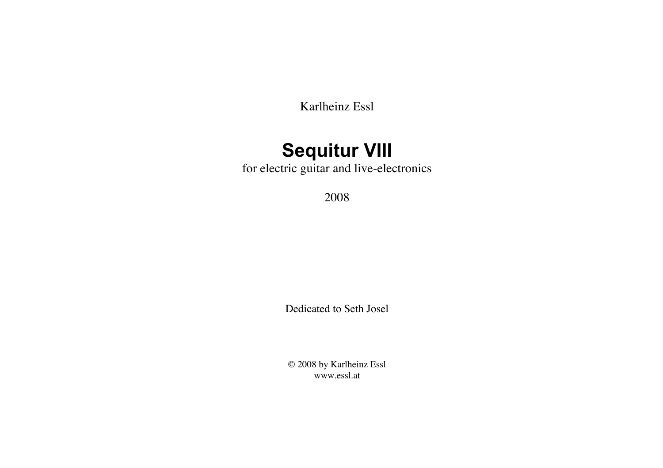Karlheinz Essl

# **Sequitur VIII**

for electric guitar and live-electronics

2008

Dedicated to Seth Josel

© 2008 by Karlheinz Essl www.essl.at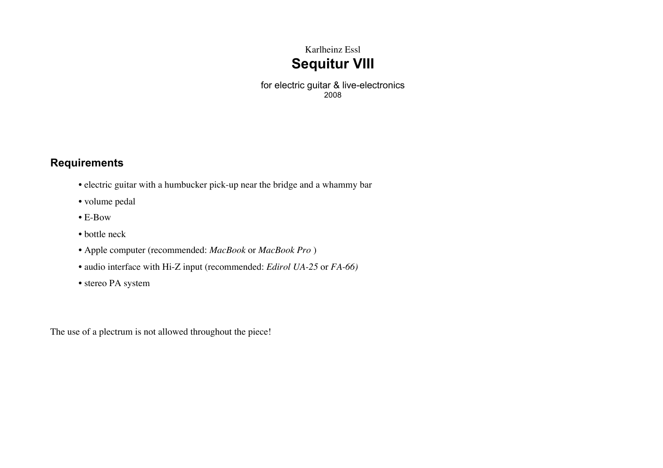## Karlheinz Essl **Sequitur VIII**

for electric guitar & live-electronics 2008

#### **Requirements**

- electric guitar with a humbucker pick-up near the bridge and a whammy bar
- volume pedal
- E-Bow
- bottle neck
- Apple computer (recommended: *MacBook* or *MacBook Pro* )
- audio interface with Hi-Z input (recommended: *Edirol UA-25* or *FA-66)*
- stereo PA system

The use of a plectrum is not allowed throughout the piece!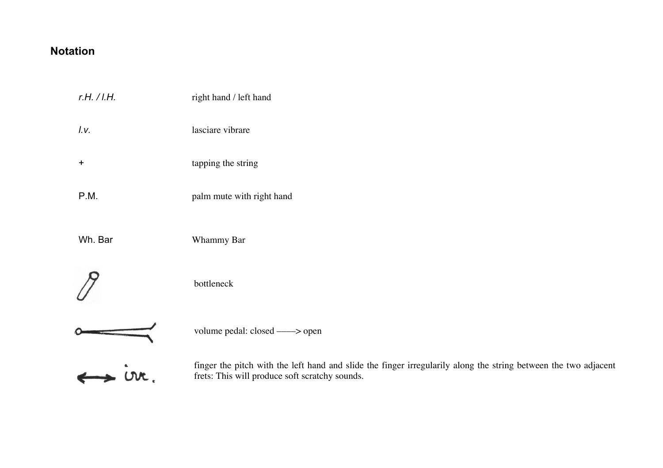## **Notation**

| $r.H.$ / $l.H.$ | right hand / left hand          |
|-----------------|---------------------------------|
| 1. v.           | lasciare vibrare                |
| $\ddot{}$       | tapping the string              |
| P.M.            | palm mute with right hand       |
| Wh. Bar         | <b>Whammy Bar</b>               |
|                 | bottleneck                      |
|                 | volume pedal: closed - - > open |

 $\leftrightarrow$  ire.

finger the pitch with the left hand and slide the finger irregularily along the string between the two adjacent frets: This will produce soft scratchy sounds.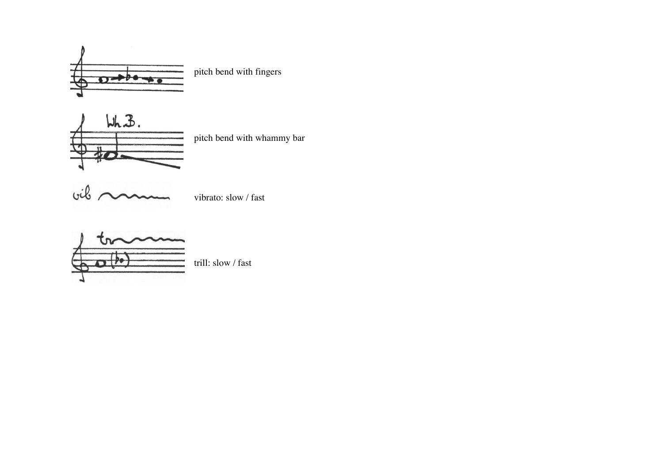



vibrato: slow / fast

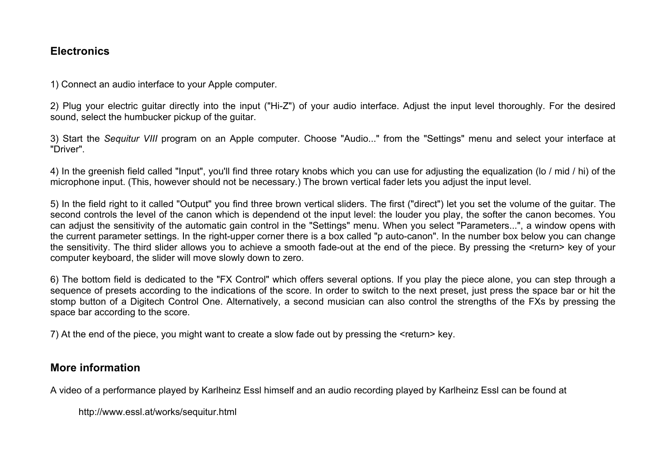#### **Electronics**

1) Connect an audio interface to your Apple computer.

2) Plug your electric guitar directly into the input ("Hi-Z") of your audio interface. Adjust the input level thoroughly. For the desired sound, select the humbucker pickup of the guitar.

3) Start the *Sequitur VIII* program on an Apple computer. Choose "Audio..." from the "Settings" menu and select your interface at "Driver".

4) In the greenish field called "Input", you'll find three rotary knobs which you can use for adjusting the equalization (lo / mid / hi) of the microphone input. (This, however should not be necessary.) The brown vertical fader lets you adjust the input level.

5) In the field right to it called "Output" you find three brown vertical sliders. The first ("direct") let you set the volume of the guitar. The second controls the level of the canon which is dependend ot the input level: the louder you play, the softer the canon becomes. You can adjust the sensitivity of the automatic gain control in the "Settings" menu. When you select "Parameters...", a window opens with the current parameter settings. In the right-upper corner there is a box called "p auto-canon". In the number box below you can change the sensitivity. The third slider allows you to achieve a smooth fade-out at the end of the piece. By pressing the <return> key of your computer keyboard, the slider will move slowly down to zero.

6) The bottom field is dedicated to the "FX Control" which offers several options. If you play the piece alone, you can step through a sequence of presets according to the indications of the score. In order to switch to the next preset, just press the space bar or hit the stomp button of a Digitech Control One. Alternatively, a second musician can also control the strengths of the FXs by pressing the space bar according to the score.

7) At the end of the piece, you might want to create a slow fade out by pressing the <return> key.

### **More information**

A video of a performance played by Karlheinz Essl himself and an audio recording played by Karlheinz Essl can be found at

http://www.essl.at/works/sequitur.html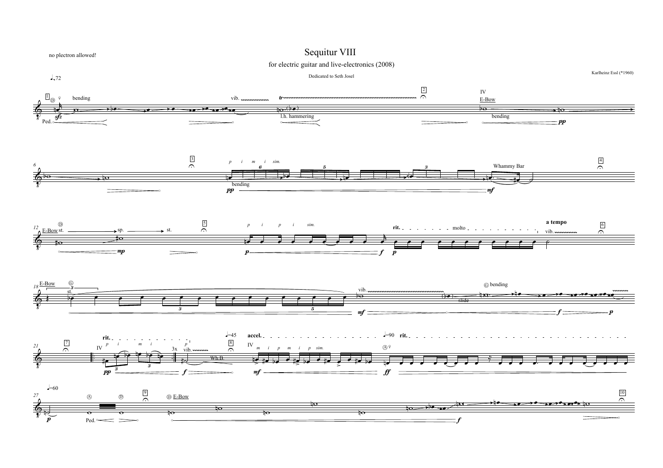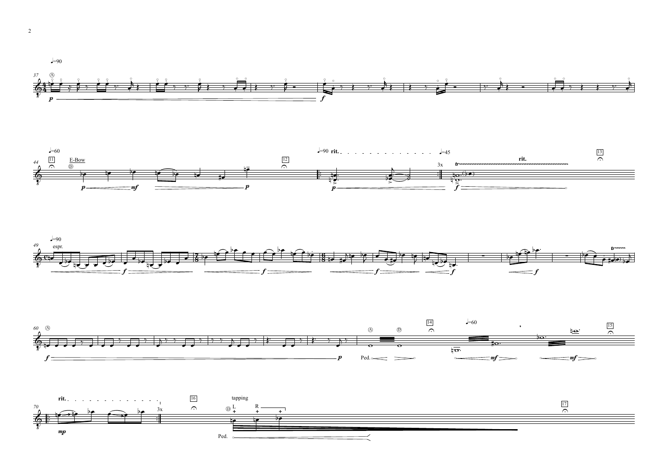